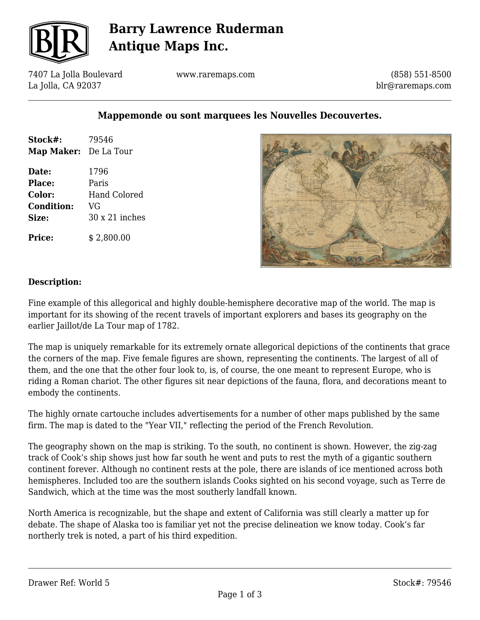

# **Barry Lawrence Ruderman Antique Maps Inc.**

7407 La Jolla Boulevard La Jolla, CA 92037

www.raremaps.com

(858) 551-8500 blr@raremaps.com

## **Mappemonde ou sont marquees les Nouvelles Decouvertes.**

| Stock#:               | 79546                 |
|-----------------------|-----------------------|
| Map Maker: De La Tour |                       |
| Date:                 | 1796                  |
| Place:                | Paris                 |
| Color:                | <b>Hand Colored</b>   |
| <b>Condition:</b>     | VG                    |
| Size:                 | $30 \times 21$ inches |
| <b>Price:</b>         | \$2,800.00            |



### **Description:**

Fine example of this allegorical and highly double-hemisphere decorative map of the world. The map is important for its showing of the recent travels of important explorers and bases its geography on the earlier Jaillot/de La Tour map of 1782.

The map is uniquely remarkable for its extremely ornate allegorical depictions of the continents that grace the corners of the map. Five female figures are shown, representing the continents. The largest of all of them, and the one that the other four look to, is, of course, the one meant to represent Europe, who is riding a Roman chariot. The other figures sit near depictions of the fauna, flora, and decorations meant to embody the continents.

The highly ornate cartouche includes advertisements for a number of other maps published by the same firm. The map is dated to the "Year VII," reflecting the period of the French Revolution.

The geography shown on the map is striking. To the south, no continent is shown. However, the zig-zag track of Cook's ship shows just how far south he went and puts to rest the myth of a gigantic southern continent forever. Although no continent rests at the pole, there are islands of ice mentioned across both hemispheres. Included too are the southern islands Cooks sighted on his second voyage, such as Terre de Sandwich, which at the time was the most southerly landfall known.

North America is recognizable, but the shape and extent of California was still clearly a matter up for debate. The shape of Alaska too is familiar yet not the precise delineation we know today. Cook's far northerly trek is noted, a part of his third expedition.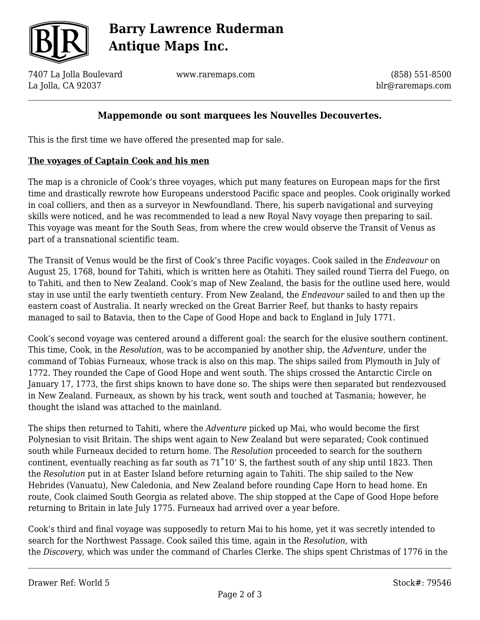

# **Barry Lawrence Ruderman Antique Maps Inc.**

7407 La Jolla Boulevard La Jolla, CA 92037

www.raremaps.com

(858) 551-8500 blr@raremaps.com

## **Mappemonde ou sont marquees les Nouvelles Decouvertes.**

This is the first time we have offered the presented map for sale.

### **The voyages of Captain Cook and his men**

The map is a chronicle of Cook's three voyages, which put many features on European maps for the first time and drastically rewrote how Europeans understood Pacific space and peoples. Cook originally worked in coal colliers, and then as a surveyor in Newfoundland. There, his superb navigational and surveying skills were noticed, and he was recommended to lead a new Royal Navy voyage then preparing to sail. This voyage was meant for the South Seas, from where the crew would observe the Transit of Venus as part of a transnational scientific team.

The Transit of Venus would be the first of Cook's three Pacific voyages. Cook sailed in the *Endeavour* on August 25, 1768, bound for Tahiti, which is written here as Otahiti. They sailed round Tierra del Fuego, on to Tahiti, and then to New Zealand. Cook's map of New Zealand, the basis for the outline used here, would stay in use until the early twentieth century. From New Zealand, the *Endeavour* sailed to and then up the eastern coast of Australia. It nearly wrecked on the Great Barrier Reef, but thanks to hasty repairs managed to sail to Batavia, then to the Cape of Good Hope and back to England in July 1771.

Cook's second voyage was centered around a different goal: the search for the elusive southern continent. This time, Cook, in the *Resolution,* was to be accompanied by another ship, the *Adventure,* under the command of Tobias Furneaux, whose track is also on this map. The ships sailed from Plymouth in July of 1772. They rounded the Cape of Good Hope and went south. The ships crossed the Antarctic Circle on January 17, 1773, the first ships known to have done so. The ships were then separated but rendezvoused in New Zealand. Furneaux, as shown by his track, went south and touched at Tasmania; however, he thought the island was attached to the mainland.

The ships then returned to Tahiti, where the *Adventure* picked up Mai, who would become the first Polynesian to visit Britain. The ships went again to New Zealand but were separated; Cook continued south while Furneaux decided to return home. The *Resolution* proceeded to search for the southern continent, eventually reaching as far south as 71˚10' S, the farthest south of any ship until 1823. Then the *Resolution* put in at Easter Island before returning again to Tahiti. The ship sailed to the New Hebrides (Vanuatu), New Caledonia, and New Zealand before rounding Cape Horn to head home. En route, Cook claimed South Georgia as related above. The ship stopped at the Cape of Good Hope before returning to Britain in late July 1775. Furneaux had arrived over a year before.

Cook's third and final voyage was supposedly to return Mai to his home, yet it was secretly intended to search for the Northwest Passage. Cook sailed this time, again in the *Resolution,* with the *Discovery,* which was under the command of Charles Clerke. The ships spent Christmas of 1776 in the